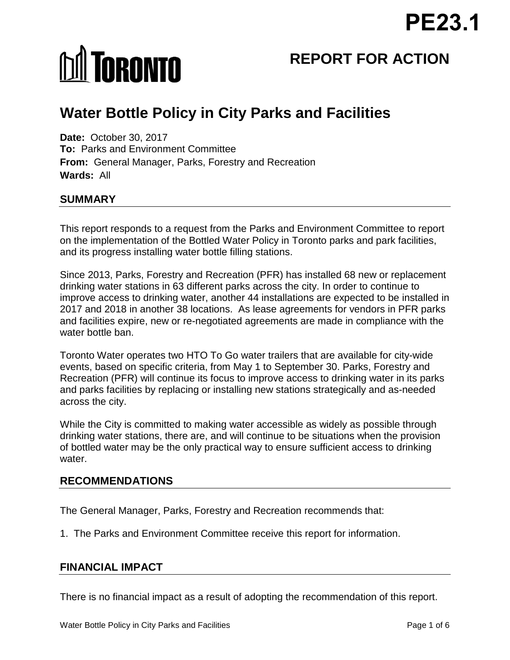# **M** TORONTO

# **REPORT FOR ACTION**

# **Water Bottle Policy in City Parks and Facilities**

**Date:** October 30, 2017 **To:** Parks and Environment Committee **From:** General Manager, Parks, Forestry and Recreation **Wards:** All

# **SUMMARY**

This report responds to a request from the Parks and Environment Committee to report on the implementation of the Bottled Water Policy in Toronto parks and park facilities, and its progress installing water bottle filling stations.

Since 2013, Parks, Forestry and Recreation (PFR) has installed 68 new or replacement drinking water stations in 63 different parks across the city. In order to continue to improve access to drinking water, another 44 installations are expected to be installed in 2017 and 2018 in another 38 locations. As lease agreements for vendors in PFR parks and facilities expire, new or re-negotiated agreements are made in compliance with the water bottle ban.

Toronto Water operates two HTO To Go water trailers that are available for city-wide events, based on specific criteria, from May 1 to September 30. Parks, Forestry and Recreation (PFR) will continue its focus to improve access to drinking water in its parks and parks facilities by replacing or installing new stations strategically and as-needed across the city.

While the City is committed to making water accessible as widely as possible through drinking water stations, there are, and will continue to be situations when the provision of bottled water may be the only practical way to ensure sufficient access to drinking water.

## **RECOMMENDATIONS**

The General Manager, Parks, Forestry and Recreation recommends that:

1. The Parks and Environment Committee receive this report for information.

## **FINANCIAL IMPACT**

There is no financial impact as a result of adopting the recommendation of this report.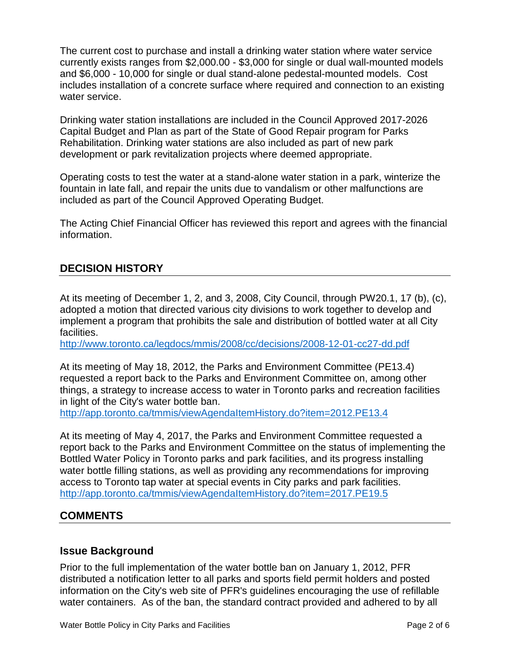The current cost to purchase and install a drinking water station where water service currently exists ranges from \$2,000.00 - \$3,000 for single or dual wall-mounted models and \$6,000 - 10,000 for single or dual stand-alone pedestal-mounted models. Cost includes installation of a concrete surface where required and connection to an existing water service.

Drinking water station installations are included in the Council Approved 2017-2026 Capital Budget and Plan as part of the State of Good Repair program for Parks Rehabilitation. Drinking water stations are also included as part of new park development or park revitalization projects where deemed appropriate.

Operating costs to test the water at a stand-alone water station in a park, winterize the fountain in late fall, and repair the units due to vandalism or other malfunctions are included as part of the Council Approved Operating Budget.

The Acting Chief Financial Officer has reviewed this report and agrees with the financial information.

# **DECISION HISTORY**

At its meeting of December 1, 2, and 3, 2008, City Council, through PW20.1, 17 (b), (c), adopted a motion that directed various city divisions to work together to develop and implement a program that prohibits the sale and distribution of bottled water at all City facilities.

<http://www.toronto.ca/legdocs/mmis/2008/cc/decisions/2008-12-01-cc27-dd.pdf>

At its meeting of May 18, 2012, the Parks and Environment Committee (PE13.4) requested a report back to the Parks and Environment Committee on, among other things, a strategy to increase access to water in Toronto parks and recreation facilities in light of the City's water bottle ban.

<http://app.toronto.ca/tmmis/viewAgendaItemHistory.do?item=2012.PE13.4>

At its meeting of May 4, 2017, the Parks and Environment Committee requested a report back to the Parks and Environment Committee on the status of implementing the Bottled Water Policy in Toronto parks and park facilities, and its progress installing water bottle filling stations, as well as providing any recommendations for improving access to Toronto tap water at special events in City parks and park facilities. <http://app.toronto.ca/tmmis/viewAgendaItemHistory.do?item=2017.PE19.5>

# **COMMENTS**

#### **Issue Background**

Prior to the full implementation of the water bottle ban on January 1, 2012, PFR distributed a notification letter to all parks and sports field permit holders and posted information on the City's web site of PFR's guidelines encouraging the use of refillable water containers. As of the ban, the standard contract provided and adhered to by all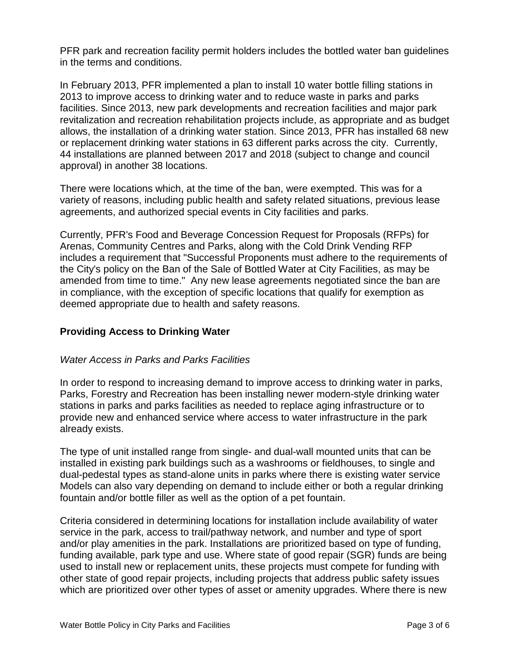PFR park and recreation facility permit holders includes the bottled water ban guidelines in the terms and conditions.

In February 2013, PFR implemented a plan to install 10 water bottle filling stations in 2013 to improve access to drinking water and to reduce waste in parks and parks facilities. Since 2013, new park developments and recreation facilities and major park revitalization and recreation rehabilitation projects include, as appropriate and as budget allows, the installation of a drinking water station. Since 2013, PFR has installed 68 new or replacement drinking water stations in 63 different parks across the city. Currently, 44 installations are planned between 2017 and 2018 (subject to change and council approval) in another 38 locations.

There were locations which, at the time of the ban, were exempted. This was for a variety of reasons, including public health and safety related situations, previous lease agreements, and authorized special events in City facilities and parks.

Currently, PFR's Food and Beverage Concession Request for Proposals (RFPs) for Arenas, Community Centres and Parks, along with the Cold Drink Vending RFP includes a requirement that "Successful Proponents must adhere to the requirements of the City's policy on the Ban of the Sale of Bottled Water at City Facilities, as may be amended from time to time." Any new lease agreements negotiated since the ban are in compliance, with the exception of specific locations that qualify for exemption as deemed appropriate due to health and safety reasons.

#### **Providing Access to Drinking Water**

#### *Water Access in Parks and Parks Facilities*

In order to respond to increasing demand to improve access to drinking water in parks, Parks, Forestry and Recreation has been installing newer modern-style drinking water stations in parks and parks facilities as needed to replace aging infrastructure or to provide new and enhanced service where access to water infrastructure in the park already exists.

The type of unit installed range from single- and dual-wall mounted units that can be installed in existing park buildings such as a washrooms or fieldhouses, to single and dual-pedestal types as stand-alone units in parks where there is existing water service Models can also vary depending on demand to include either or both a regular drinking fountain and/or bottle filler as well as the option of a pet fountain.

Criteria considered in determining locations for installation include availability of water service in the park, access to trail/pathway network, and number and type of sport and/or play amenities in the park. Installations are prioritized based on type of funding, funding available, park type and use. Where state of good repair (SGR) funds are being used to install new or replacement units, these projects must compete for funding with other state of good repair projects, including projects that address public safety issues which are prioritized over other types of asset or amenity upgrades. Where there is new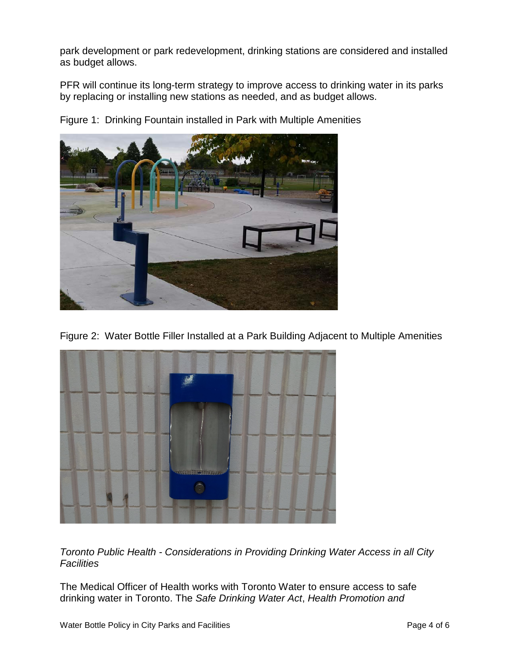park development or park redevelopment, drinking stations are considered and installed as budget allows.

PFR will continue its long-term strategy to improve access to drinking water in its parks by replacing or installing new stations as needed, and as budget allows.



Figure 1: Drinking Fountain installed in Park with Multiple Amenities

Figure 2: Water Bottle Filler Installed at a Park Building Adjacent to Multiple Amenities



*Toronto Public Health - Considerations in Providing Drinking Water Access in all City Facilities*

The Medical Officer of Health works with Toronto Water to ensure access to safe drinking water in Toronto. The *Safe Drinking Water Act*, *Health Promotion and*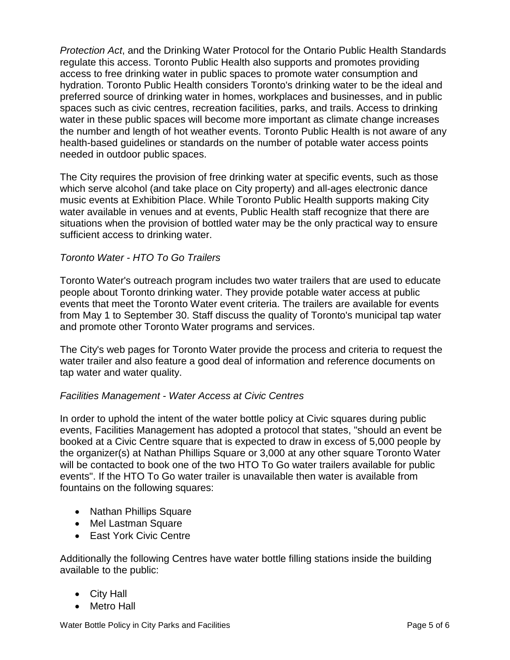*Protection Act*, and the Drinking Water Protocol for the Ontario Public Health Standards regulate this access. Toronto Public Health also supports and promotes providing access to free drinking water in public spaces to promote water consumption and hydration. Toronto Public Health considers Toronto's drinking water to be the ideal and preferred source of drinking water in homes, workplaces and businesses, and in public spaces such as civic centres, recreation facilities, parks, and trails. Access to drinking water in these public spaces will become more important as climate change increases the number and length of hot weather events. Toronto Public Health is not aware of any health-based guidelines or standards on the number of potable water access points needed in outdoor public spaces.

The City requires the provision of free drinking water at specific events, such as those which serve alcohol (and take place on City property) and all-ages electronic dance music events at Exhibition Place. While Toronto Public Health supports making City water available in venues and at events, Public Health staff recognize that there are situations when the provision of bottled water may be the only practical way to ensure sufficient access to drinking water.

#### *Toronto Water - HTO To Go Trailers*

Toronto Water's outreach program includes two water trailers that are used to educate people about Toronto drinking water. They provide potable water access at public events that meet the Toronto Water event criteria. The trailers are available for events from May 1 to September 30. Staff discuss the quality of Toronto's municipal tap water and promote other Toronto Water programs and services.

The City's web pages for Toronto Water provide the process and criteria to request the water trailer and also feature a good deal of information and reference documents on tap water and water quality.

#### *Facilities Management - Water Access at Civic Centres*

In order to uphold the intent of the water bottle policy at Civic squares during public events, Facilities Management has adopted a protocol that states, "should an event be booked at a Civic Centre square that is expected to draw in excess of 5,000 people by the organizer(s) at Nathan Phillips Square or 3,000 at any other square Toronto Water will be contacted to book one of the two HTO To Go water trailers available for public events". If the HTO To Go water trailer is unavailable then water is available from fountains on the following squares:

- Nathan Phillips Square
- Mel Lastman Square
- East York Civic Centre

Additionally the following Centres have water bottle filling stations inside the building available to the public:

- City Hall
- Metro Hall